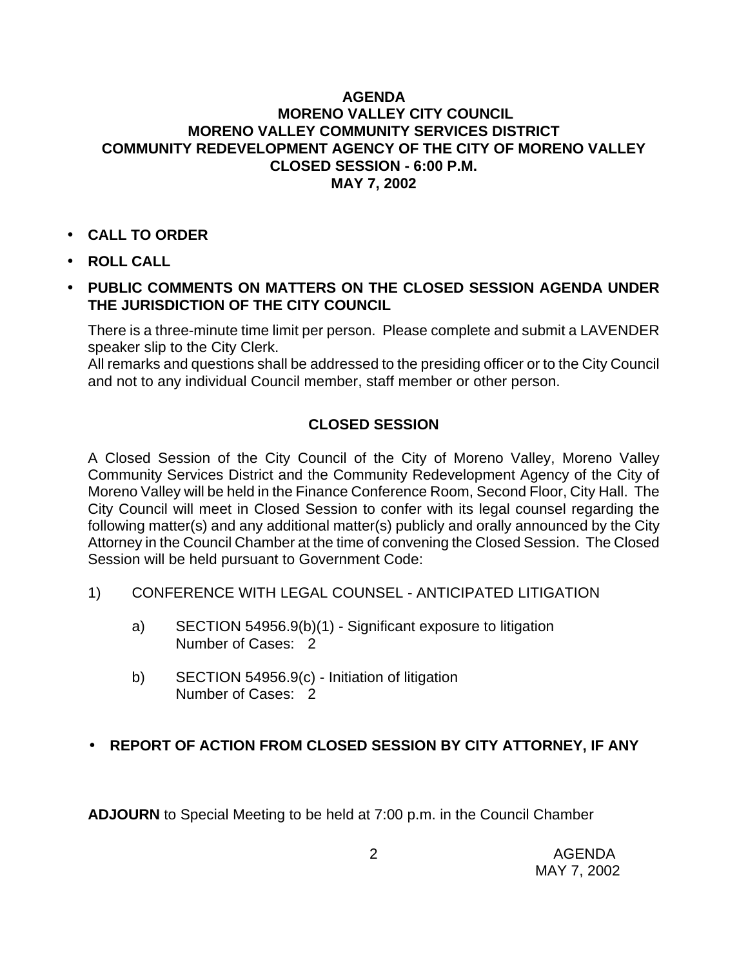### **AGENDA MORENO VALLEY CITY COUNCIL MORENO VALLEY COMMUNITY SERVICES DISTRICT COMMUNITY REDEVELOPMENT AGENCY OF THE CITY OF MORENO VALLEY CLOSED SESSION - 6:00 P.M. MAY 7, 2002**

- **CALL TO ORDER**
- **ROLL CALL**
- **PUBLIC COMMENTS ON MATTERS ON THE CLOSED SESSION AGENDA UNDER THE JURISDICTION OF THE CITY COUNCIL**

There is a three-minute time limit per person. Please complete and submit a LAVENDER speaker slip to the City Clerk.

All remarks and questions shall be addressed to the presiding officer or to the City Council and not to any individual Council member, staff member or other person.

# **CLOSED SESSION**

A Closed Session of the City Council of the City of Moreno Valley, Moreno Valley Community Services District and the Community Redevelopment Agency of the City of Moreno Valley will be held in the Finance Conference Room, Second Floor, City Hall. The City Council will meet in Closed Session to confer with its legal counsel regarding the following matter(s) and any additional matter(s) publicly and orally announced by the City Attorney in the Council Chamber at the time of convening the Closed Session. The Closed Session will be held pursuant to Government Code:

- 1) CONFERENCE WITH LEGAL COUNSEL ANTICIPATED LITIGATION
	- a) SECTION 54956.9(b)(1) Significant exposure to litigation Number of Cases: 2
	- b) SECTION 54956.9(c) Initiation of litigation Number of Cases: 2

# • **REPORT OF ACTION FROM CLOSED SESSION BY CITY ATTORNEY, IF ANY**

**ADJOURN** to Special Meeting to be held at 7:00 p.m. in the Council Chamber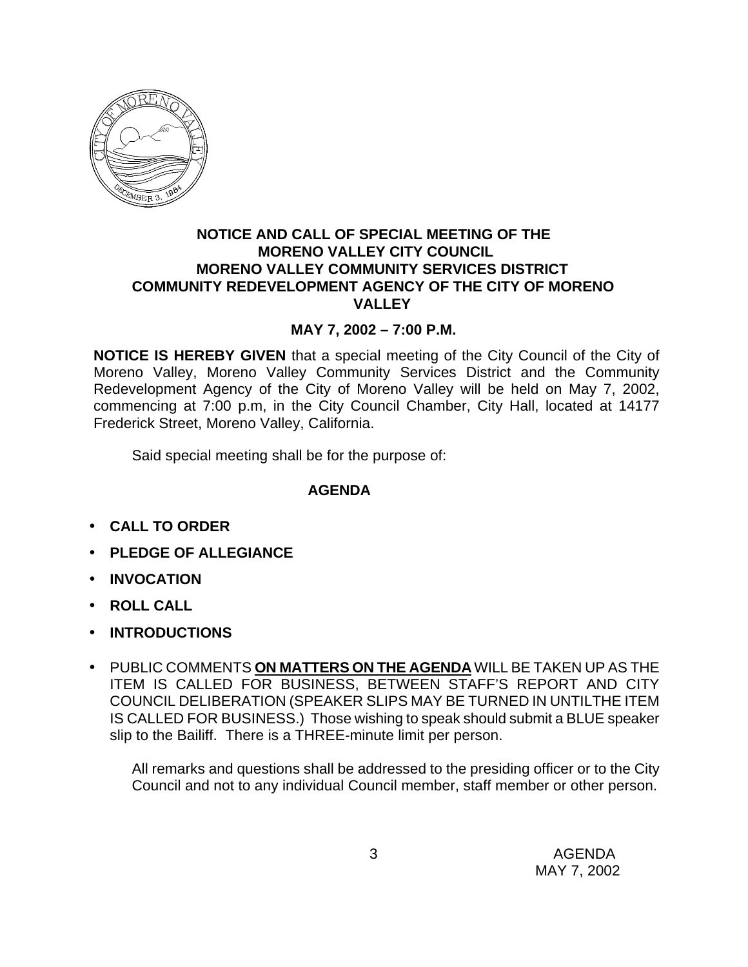

#### **NOTICE AND CALL OF SPECIAL MEETING OF THE MORENO VALLEY CITY COUNCIL MORENO VALLEY COMMUNITY SERVICES DISTRICT COMMUNITY REDEVELOPMENT AGENCY OF THE CITY OF MORENO VALLEY**

## **MAY 7, 2002 – 7:00 P.M.**

**NOTICE IS HEREBY GIVEN** that a special meeting of the City Council of the City of Moreno Valley, Moreno Valley Community Services District and the Community Redevelopment Agency of the City of Moreno Valley will be held on May 7, 2002, commencing at 7:00 p.m, in the City Council Chamber, City Hall, located at 14177 Frederick Street, Moreno Valley, California.

Said special meeting shall be for the purpose of:

#### **AGENDA**

- **CALL TO ORDER**
- **PLEDGE OF ALLEGIANCE**
- **INVOCATION**
- **ROLL CALL**
- **INTRODUCTIONS**
- PUBLIC COMMENTS **ON MATTERS ON THE AGENDA** WILL BE TAKEN UP AS THE ITEM IS CALLED FOR BUSINESS, BETWEEN STAFF'S REPORT AND CITY COUNCIL DELIBERATION (SPEAKER SLIPS MAY BE TURNED IN UNTILTHE ITEM IS CALLED FOR BUSINESS.) Those wishing to speak should submit a BLUE speaker slip to the Bailiff. There is a THREE-minute limit per person.

All remarks and questions shall be addressed to the presiding officer or to the City Council and not to any individual Council member, staff member or other person.